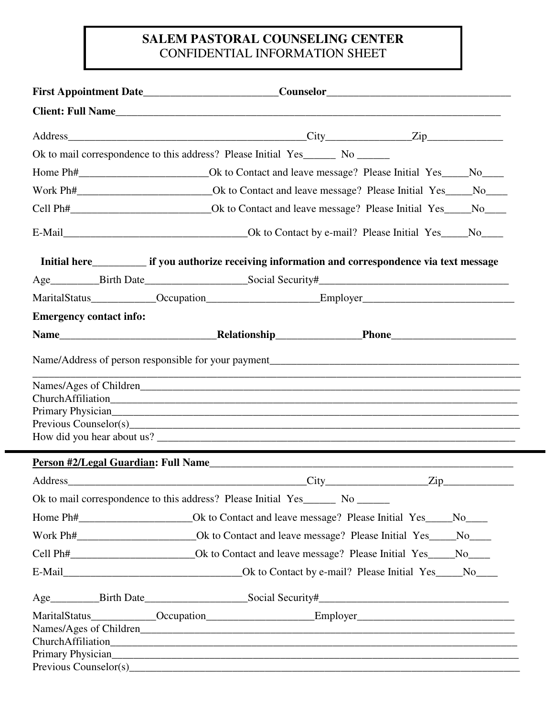## **SALEM PASTORAL COUNSELING CENTER**  CONFIDENTIAL INFORMATION SHEET

|                                | Client: Full Name                                                                                                                                                                                                                |  |
|--------------------------------|----------------------------------------------------------------------------------------------------------------------------------------------------------------------------------------------------------------------------------|--|
|                                |                                                                                                                                                                                                                                  |  |
|                                | Ok to mail correspondence to this address? Please Initial Yes______ No ______                                                                                                                                                    |  |
|                                |                                                                                                                                                                                                                                  |  |
|                                |                                                                                                                                                                                                                                  |  |
|                                |                                                                                                                                                                                                                                  |  |
|                                |                                                                                                                                                                                                                                  |  |
|                                |                                                                                                                                                                                                                                  |  |
|                                |                                                                                                                                                                                                                                  |  |
|                                |                                                                                                                                                                                                                                  |  |
| <b>Emergency contact info:</b> |                                                                                                                                                                                                                                  |  |
|                                |                                                                                                                                                                                                                                  |  |
|                                | ,我们也不能在这里的时候,我们也不能在这里的时候,我们也不能在这里的时候,我们也不能会不能在这里的时候,我们也不能会不能会不能会不能会不能会不能会不能会不能会不                                                                                                                                                 |  |
|                                | Primary Physician<br>The Communication of the Communication of the Communication of the Communication of the Communication of the Communication of the Communication of the Communication of the Communication of the Communicat |  |
|                                |                                                                                                                                                                                                                                  |  |
|                                |                                                                                                                                                                                                                                  |  |
|                                | Ok to mail correspondence to this address? Please Initial Yes_______ No _______                                                                                                                                                  |  |
|                                | Home Ph#_______________________________Ok to Contact and leave message? Please Initial Yes_____No_____                                                                                                                           |  |
|                                | Work Ph#_______________________________Ok to Contact and leave message? Please Initial Yes_____No_____                                                                                                                           |  |
|                                | Cell Ph# Ok to Contact and leave message? Please Initial Yes No                                                                                                                                                                  |  |
|                                |                                                                                                                                                                                                                                  |  |
|                                |                                                                                                                                                                                                                                  |  |
|                                |                                                                                                                                                                                                                                  |  |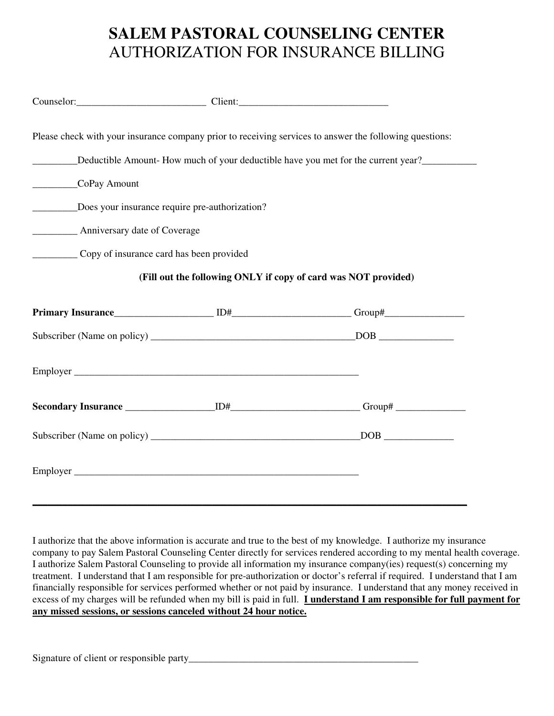# **SALEM PASTORAL COUNSELING CENTER**  AUTHORIZATION FOR INSURANCE BILLING

| Please check with your insurance company prior to receiving services to answer the following questions:    |  |  |  |  |  |
|------------------------------------------------------------------------------------------------------------|--|--|--|--|--|
| ____________Deductible Amount- How much of your deductible have you met for the current year?_____________ |  |  |  |  |  |
| CoPay Amount                                                                                               |  |  |  |  |  |
| ____________Does your insurance require pre-authorization?                                                 |  |  |  |  |  |
| <b>EXAMPLE Anniversary date of Coverage</b>                                                                |  |  |  |  |  |
| Copy of insurance card has been provided                                                                   |  |  |  |  |  |
| (Fill out the following ONLY if copy of card was NOT provided)                                             |  |  |  |  |  |
|                                                                                                            |  |  |  |  |  |
|                                                                                                            |  |  |  |  |  |
|                                                                                                            |  |  |  |  |  |
|                                                                                                            |  |  |  |  |  |
|                                                                                                            |  |  |  |  |  |
|                                                                                                            |  |  |  |  |  |

I authorize that the above information is accurate and true to the best of my knowledge. I authorize my insurance company to pay Salem Pastoral Counseling Center directly for services rendered according to my mental health coverage. I authorize Salem Pastoral Counseling to provide all information my insurance company(ies) request(s) concerning my treatment. I understand that I am responsible for pre-authorization or doctor's referral if required. I understand that I am financially responsible for services performed whether or not paid by insurance. I understand that any money received in excess of my charges will be refunded when my bill is paid in full. **I understand I am responsible for full payment for any missed sessions, or sessions canceled without 24 hour notice.**

Signature of client or responsible party\_\_\_\_\_\_\_\_\_\_\_\_\_\_\_\_\_\_\_\_\_\_\_\_\_\_\_\_\_\_\_\_\_\_\_\_\_\_\_\_\_\_\_\_\_\_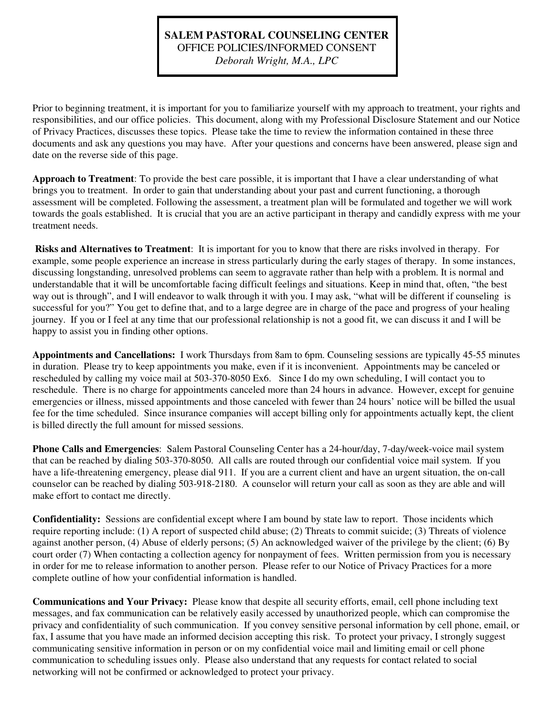## **SALEM PASTORAL COUNSELING CENTER**  OFFICE POLICIES/INFORMED CONSENT

*Deborah Wright, M.A., LPC* 

Prior to beginning treatment, it is important for you to familiarize yourself with my approach to treatment, your rights and responsibilities, and our office policies. This document, along with my Professional Disclosure Statement and our Notice of Privacy Practices, discusses these topics. Please take the time to review the information contained in these three documents and ask any questions you may have. After your questions and concerns have been answered, please sign and date on the reverse side of this page.

**Approach to Treatment**: To provide the best care possible, it is important that I have a clear understanding of what brings you to treatment. In order to gain that understanding about your past and current functioning, a thorough assessment will be completed. Following the assessment, a treatment plan will be formulated and together we will work towards the goals established. It is crucial that you are an active participant in therapy and candidly express with me your treatment needs.

 **Risks and Alternatives to Treatment**: It is important for you to know that there are risks involved in therapy. For example, some people experience an increase in stress particularly during the early stages of therapy. In some instances, discussing longstanding, unresolved problems can seem to aggravate rather than help with a problem. It is normal and understandable that it will be uncomfortable facing difficult feelings and situations. Keep in mind that, often, "the best way out is through", and I will endeavor to walk through it with you. I may ask, "what will be different if counseling is successful for you?" You get to define that, and to a large degree are in charge of the pace and progress of your healing journey. If you or I feel at any time that our professional relationship is not a good fit, we can discuss it and I will be happy to assist you in finding other options.

**Appointments and Cancellations:** I work Thursdays from 8am to 6pm. Counseling sessions are typically 45-55 minutes in duration. Please try to keep appointments you make, even if it is inconvenient. Appointments may be canceled or rescheduled by calling my voice mail at 503-370-8050 Ex6. Since I do my own scheduling, I will contact you to reschedule. There is no charge for appointments canceled more than 24 hours in advance. However, except for genuine emergencies or illness, missed appointments and those canceled with fewer than 24 hours' notice will be billed the usual fee for the time scheduled. Since insurance companies will accept billing only for appointments actually kept, the client is billed directly the full amount for missed sessions.

**Phone Calls and Emergencies**: Salem Pastoral Counseling Center has a 24-hour/day, 7-day/week-voice mail system that can be reached by dialing 503-370-8050. All calls are routed through our confidential voice mail system. If you have a life-threatening emergency, please dial 911. If you are a current client and have an urgent situation, the on-call counselor can be reached by dialing 503-918-2180. A counselor will return your call as soon as they are able and will make effort to contact me directly.

**Confidentiality:** Sessions are confidential except where I am bound by state law to report. Those incidents which require reporting include: (1) A report of suspected child abuse; (2) Threats to commit suicide; (3) Threats of violence against another person, (4) Abuse of elderly persons; (5) An acknowledged waiver of the privilege by the client; (6) By court order (7) When contacting a collection agency for nonpayment of fees. Written permission from you is necessary in order for me to release information to another person. Please refer to our Notice of Privacy Practices for a more complete outline of how your confidential information is handled.

**Communications and Your Privacy:** Please know that despite all security efforts, email, cell phone including text messages, and fax communication can be relatively easily accessed by unauthorized people, which can compromise the privacy and confidentiality of such communication. If you convey sensitive personal information by cell phone, email, or fax, I assume that you have made an informed decision accepting this risk. To protect your privacy, I strongly suggest communicating sensitive information in person or on my confidential voice mail and limiting email or cell phone communication to scheduling issues only. Please also understand that any requests for contact related to social networking will not be confirmed or acknowledged to protect your privacy.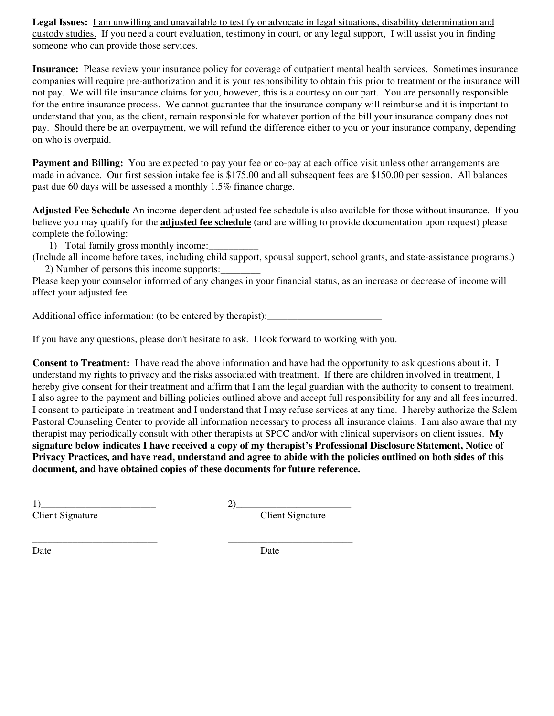**Legal Issues:** I am unwilling and unavailable to testify or advocate in legal situations, disability determination and custody studies.If you need a court evaluation, testimony in court, or any legal support, I will assist you in finding someone who can provide those services.

**Insurance:** Please review your insurance policy for coverage of outpatient mental health services. Sometimes insurance companies will require pre-authorization and it is your responsibility to obtain this prior to treatment or the insurance will not pay. We will file insurance claims for you, however, this is a courtesy on our part. You are personally responsible for the entire insurance process. We cannot guarantee that the insurance company will reimburse and it is important to understand that you, as the client, remain responsible for whatever portion of the bill your insurance company does not pay. Should there be an overpayment, we will refund the difference either to you or your insurance company, depending on who is overpaid.

**Payment and Billing:** You are expected to pay your fee or co-pay at each office visit unless other arrangements are made in advance. Our first session intake fee is \$175.00 and all subsequent fees are \$150.00 per session. All balances past due 60 days will be assessed a monthly 1.5% finance charge.

**Adjusted Fee Schedule** An income-dependent adjusted fee schedule is also available for those without insurance. If you believe you may qualify for the **adjusted fee schedule** (and are willing to provide documentation upon request) please complete the following:

1) Total family gross monthly income:

(Include all income before taxes, including child support, spousal support, school grants, and state-assistance programs.) 2) Number of persons this income supports:\_\_\_\_\_\_\_\_

Please keep your counselor informed of any changes in your financial status, as an increase or decrease of income will affect your adjusted fee.

Additional office information: (to be entered by therapist):

If you have any questions, please don't hesitate to ask. I look forward to working with you.

**Consent to Treatment:** I have read the above information and have had the opportunity to ask questions about it. I understand my rights to privacy and the risks associated with treatment. If there are children involved in treatment, I hereby give consent for their treatment and affirm that I am the legal guardian with the authority to consent to treatment. I also agree to the payment and billing policies outlined above and accept full responsibility for any and all fees incurred. I consent to participate in treatment and I understand that I may refuse services at any time. I hereby authorize the Salem Pastoral Counseling Center to provide all information necessary to process all insurance claims. I am also aware that my therapist may periodically consult with other therapists at SPCC and/or with clinical supervisors on client issues. **My signature below indicates I have received a copy of my therapist's Professional Disclosure Statement, Notice of Privacy Practices, and have read, understand and agree to abide with the policies outlined on both sides of this document, and have obtained copies of these documents for future reference.** 

 $1)$   $2)$   $2)$ 

\_\_\_\_\_\_\_\_\_\_\_\_\_\_\_\_\_\_\_\_\_\_\_\_\_ \_\_\_\_\_\_\_\_\_\_\_\_\_\_\_\_\_\_\_\_\_\_\_\_\_

Client Signature

Date Date Date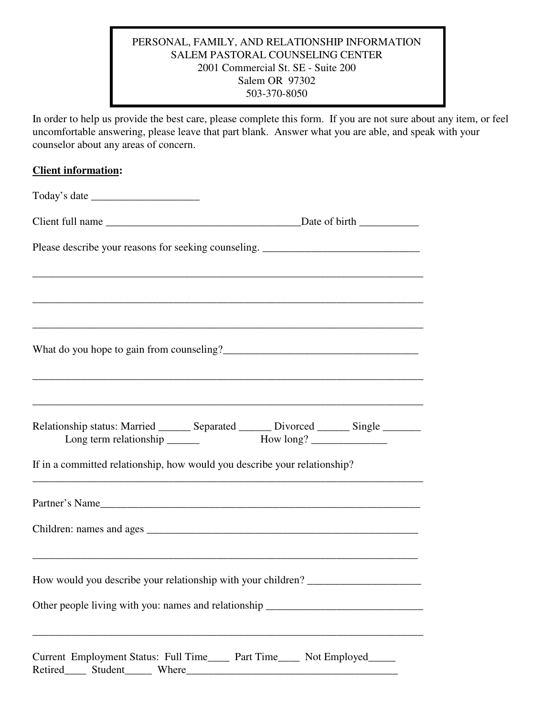### PERSONAL, FAMILY, AND RELATIONSHIP INFORMATION SALEM PASTORAL COUNSELING CENTER 2001 Commercial St. SE - Suite 200 Salem OR 97302 503-370-8050

In order to help us provide the best care, please complete this form. If you are not sure about any item, or feel uncomfortable answering, please leave that part blank. Answer what you are able, and speak with your counselor about any areas of concern.

|  | Please describe your reasons for seeking counseling. ____________________________<br>Relationship status: Married _______ Separated _______ Divorced _______ Single _______<br>If in a committed relationship, how would you describe your relationship?<br>Partner's Name<br>How would you describe your relationship with your children? ____________________<br>Other people living with you: names and relationship ____________________________<br>Current Employment Status: Full Time_____ Part Time____ Not Employed_____ |  |
|--|-----------------------------------------------------------------------------------------------------------------------------------------------------------------------------------------------------------------------------------------------------------------------------------------------------------------------------------------------------------------------------------------------------------------------------------------------------------------------------------------------------------------------------------|--|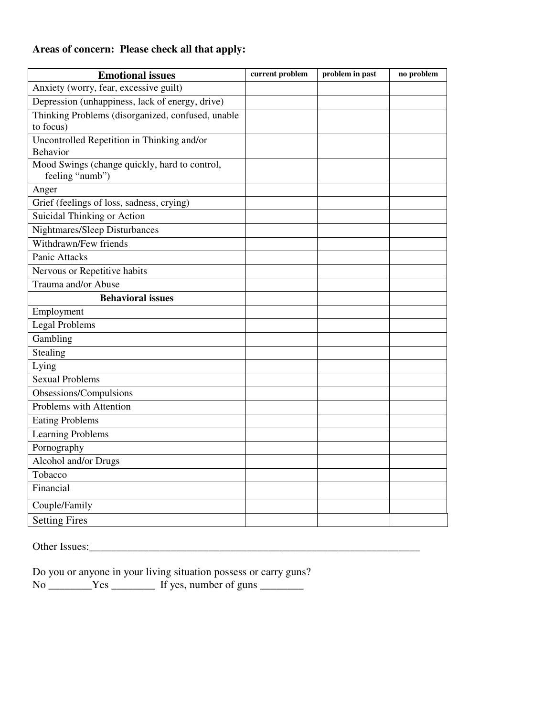## **Areas of concern: Please check all that apply:**

| <b>Emotional issues</b>                                          | current problem | problem in past | no problem |
|------------------------------------------------------------------|-----------------|-----------------|------------|
| Anxiety (worry, fear, excessive guilt)                           |                 |                 |            |
| Depression (unhappiness, lack of energy, drive)                  |                 |                 |            |
| Thinking Problems (disorganized, confused, unable                |                 |                 |            |
| to focus)                                                        |                 |                 |            |
| Uncontrolled Repetition in Thinking and/or                       |                 |                 |            |
| Behavior                                                         |                 |                 |            |
| Mood Swings (change quickly, hard to control,<br>feeling "numb") |                 |                 |            |
| Anger                                                            |                 |                 |            |
| Grief (feelings of loss, sadness, crying)                        |                 |                 |            |
| Suicidal Thinking or Action                                      |                 |                 |            |
| Nightmares/Sleep Disturbances                                    |                 |                 |            |
| Withdrawn/Few friends                                            |                 |                 |            |
| Panic Attacks                                                    |                 |                 |            |
| Nervous or Repetitive habits                                     |                 |                 |            |
| Trauma and/or Abuse                                              |                 |                 |            |
| <b>Behavioral issues</b>                                         |                 |                 |            |
| Employment                                                       |                 |                 |            |
| <b>Legal Problems</b>                                            |                 |                 |            |
| Gambling                                                         |                 |                 |            |
| Stealing                                                         |                 |                 |            |
| Lying                                                            |                 |                 |            |
| <b>Sexual Problems</b>                                           |                 |                 |            |
| Obsessions/Compulsions                                           |                 |                 |            |
| Problems with Attention                                          |                 |                 |            |
| <b>Eating Problems</b>                                           |                 |                 |            |
| <b>Learning Problems</b>                                         |                 |                 |            |
| Pornography                                                      |                 |                 |            |
| Alcohol and/or Drugs                                             |                 |                 |            |
| Tobacco                                                          |                 |                 |            |
| Financial                                                        |                 |                 |            |
| Couple/Family                                                    |                 |                 |            |
| <b>Setting Fires</b>                                             |                 |                 |            |

Other Issues:\_\_\_\_\_\_\_\_\_\_\_\_\_\_\_\_\_\_\_\_\_\_\_\_\_\_\_\_\_\_\_\_\_\_\_\_\_\_\_\_\_\_\_\_\_\_\_\_\_\_\_\_\_\_\_\_\_\_\_\_\_

Do you or anyone in your living situation possess or carry guns? No \_\_\_\_\_\_\_\_\_Yes \_\_\_\_\_\_\_\_\_ If yes, number of guns \_\_\_\_\_\_\_\_\_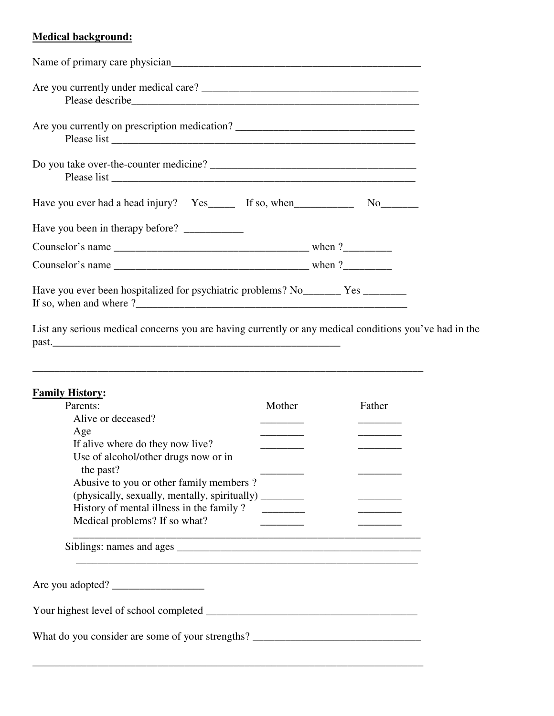## **Medical background:**

| Are you currently on prescription medication?                                                                    |                            |
|------------------------------------------------------------------------------------------------------------------|----------------------------|
|                                                                                                                  |                            |
| Have you ever had a head injury? Yes _______ If so, when ________________________                                | $No$ <sub>__________</sub> |
| Have you been in therapy before?                                                                                 |                            |
|                                                                                                                  |                            |
|                                                                                                                  |                            |
| Have you ever been hospitalized for psychiatric problems? No ________ Yes _________<br>If so, when and where $?$ |                            |

List any serious medical concerns you are having currently or any medical conditions you've had in the past.\_\_\_\_\_\_\_\_\_\_\_\_\_\_\_\_\_\_\_\_\_\_\_\_\_\_\_\_\_\_\_\_\_\_\_\_\_\_\_\_\_\_\_\_\_\_\_\_\_\_\_\_\_

## **Family History:**

| Parents:                                               | Mother | Father                   |
|--------------------------------------------------------|--------|--------------------------|
| Alive or deceased?                                     |        |                          |
| Age                                                    |        | $\overline{\phantom{a}}$ |
| If alive where do they now live?                       |        |                          |
| Use of alcohol/other drugs now or in<br>the past?      |        |                          |
| Abusive to you or other family members?                |        |                          |
| (physically, sexually, mentally, spiritually) ________ |        |                          |
| History of mental illness in the family?               |        |                          |
| Medical problems? If so what?                          |        |                          |
|                                                        |        |                          |
|                                                        |        |                          |
| Your highest level of school completed                 |        |                          |
| What do you consider are some of your strengths?       |        |                          |
|                                                        |        |                          |

\_\_\_\_\_\_\_\_\_\_\_\_\_\_\_\_\_\_\_\_\_\_\_\_\_\_\_\_\_\_\_\_\_\_\_\_\_\_\_\_\_\_\_\_\_\_\_\_\_\_\_\_\_\_\_\_\_\_\_\_\_\_\_\_\_\_\_\_\_\_\_\_

\_\_\_\_\_\_\_\_\_\_\_\_\_\_\_\_\_\_\_\_\_\_\_\_\_\_\_\_\_\_\_\_\_\_\_\_\_\_\_\_\_\_\_\_\_\_\_\_\_\_\_\_\_\_\_\_\_\_\_\_\_\_\_\_\_\_\_\_\_\_\_\_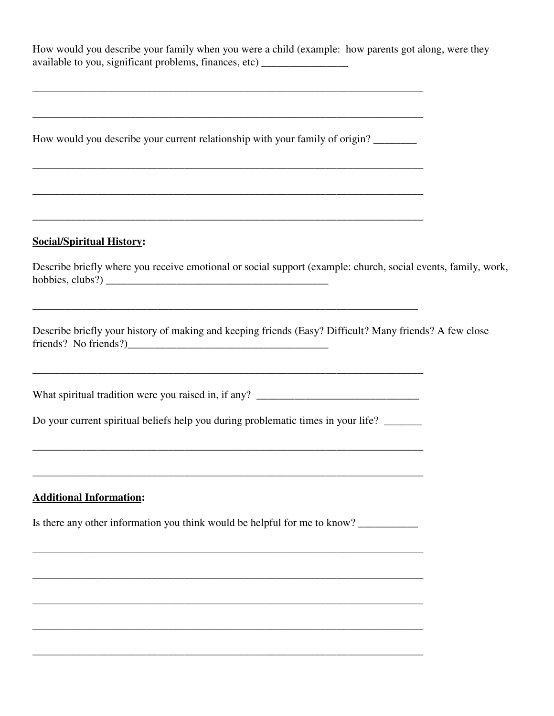How would you describe your family when you were a child (example: how parents got along, were they available to you, significant problems, finances, etc) \_\_\_\_\_\_\_\_\_\_\_\_\_\_\_\_

\_\_\_\_\_\_\_\_\_\_\_\_\_\_\_\_\_\_\_\_\_\_\_\_\_\_\_\_\_\_\_\_\_\_\_\_\_\_\_\_\_\_\_\_\_\_\_\_\_\_\_\_\_\_\_\_\_\_\_\_\_\_\_\_\_\_\_\_\_\_\_\_

How would you describe your current relationship with your family of origin?

\_\_\_\_\_\_\_\_\_\_\_\_\_\_\_\_\_\_\_\_\_\_\_\_\_\_\_\_\_\_\_\_\_\_\_\_\_\_\_\_\_\_\_\_\_\_\_\_\_\_\_\_\_\_\_\_\_\_\_\_\_\_\_\_\_\_\_\_\_\_\_\_

\_\_\_\_\_\_\_\_\_\_\_\_\_\_\_\_\_\_\_\_\_\_\_\_\_\_\_\_\_\_\_\_\_\_\_\_\_\_\_\_\_\_\_\_\_\_\_\_\_\_\_\_\_\_\_\_\_\_\_\_\_\_\_\_\_\_\_\_\_\_\_\_

\_\_\_\_\_\_\_\_\_\_\_\_\_\_\_\_\_\_\_\_\_\_\_\_\_\_\_\_\_\_\_\_\_\_\_\_\_\_\_\_\_\_\_\_\_\_\_\_\_\_\_\_\_\_\_\_\_\_\_\_\_\_\_\_\_\_\_\_\_\_\_\_

\_\_\_\_\_\_\_\_\_\_\_\_\_\_\_\_\_\_\_\_\_\_\_\_\_\_\_\_\_\_\_\_\_\_\_\_\_\_\_\_\_\_\_\_\_\_\_\_\_\_\_\_\_\_\_\_\_\_\_\_\_\_\_\_\_\_\_\_\_\_\_\_

\_\_\_\_\_\_\_\_\_\_\_\_\_\_\_\_\_\_\_\_\_\_\_\_\_\_\_\_\_\_\_\_\_\_\_\_\_\_\_\_\_\_\_\_\_\_\_\_\_\_\_\_\_\_\_\_\_\_\_\_\_\_\_\_\_\_\_\_\_\_\_

#### **Social/Spiritual History:**

Describe briefly where you receive emotional or social support (example: church, social events, family, work, hobbies, clubs?) \_\_\_\_\_\_\_\_\_\_\_\_\_\_\_\_\_\_\_\_\_\_\_\_\_\_\_\_\_\_\_\_\_\_\_\_\_\_\_\_\_

Describe briefly your history of making and keeping friends (Easy? Difficult? Many friends? A few close friends? No friends?)\_\_\_\_\_\_\_\_\_\_\_\_\_\_\_\_\_\_\_\_\_\_\_\_\_\_\_\_\_\_\_\_\_\_\_\_\_

What spiritual tradition were you raised in, if any? \_\_\_\_\_\_\_\_\_\_\_\_\_\_\_\_\_\_\_\_\_\_\_\_\_\_\_\_

Do your current spiritual beliefs help you during problematic times in your life?

\_\_\_\_\_\_\_\_\_\_\_\_\_\_\_\_\_\_\_\_\_\_\_\_\_\_\_\_\_\_\_\_\_\_\_\_\_\_\_\_\_\_\_\_\_\_\_\_\_\_\_\_\_\_\_\_\_\_\_\_\_\_\_\_\_\_\_\_\_\_\_\_

\_\_\_\_\_\_\_\_\_\_\_\_\_\_\_\_\_\_\_\_\_\_\_\_\_\_\_\_\_\_\_\_\_\_\_\_\_\_\_\_\_\_\_\_\_\_\_\_\_\_\_\_\_\_\_\_\_\_\_\_\_\_\_\_\_\_\_\_\_\_\_\_

\_\_\_\_\_\_\_\_\_\_\_\_\_\_\_\_\_\_\_\_\_\_\_\_\_\_\_\_\_\_\_\_\_\_\_\_\_\_\_\_\_\_\_\_\_\_\_\_\_\_\_\_\_\_\_\_\_\_\_\_\_\_\_\_\_\_\_\_\_\_\_\_

#### **Additional Information:**

Is there any other information you think would be helpful for me to know?

\_\_\_\_\_\_\_\_\_\_\_\_\_\_\_\_\_\_\_\_\_\_\_\_\_\_\_\_\_\_\_\_\_\_\_\_\_\_\_\_\_\_\_\_\_\_\_\_\_\_\_\_\_\_\_\_\_\_\_\_\_\_\_\_\_\_\_\_\_\_\_\_

\_\_\_\_\_\_\_\_\_\_\_\_\_\_\_\_\_\_\_\_\_\_\_\_\_\_\_\_\_\_\_\_\_\_\_\_\_\_\_\_\_\_\_\_\_\_\_\_\_\_\_\_\_\_\_\_\_\_\_\_\_\_\_\_\_\_\_\_\_\_\_\_

\_\_\_\_\_\_\_\_\_\_\_\_\_\_\_\_\_\_\_\_\_\_\_\_\_\_\_\_\_\_\_\_\_\_\_\_\_\_\_\_\_\_\_\_\_\_\_\_\_\_\_\_\_\_\_\_\_\_\_\_\_\_\_\_\_\_\_\_\_\_\_\_

\_\_\_\_\_\_\_\_\_\_\_\_\_\_\_\_\_\_\_\_\_\_\_\_\_\_\_\_\_\_\_\_\_\_\_\_\_\_\_\_\_\_\_\_\_\_\_\_\_\_\_\_\_\_\_\_\_\_\_\_\_\_\_\_\_\_\_\_\_\_\_\_

\_\_\_\_\_\_\_\_\_\_\_\_\_\_\_\_\_\_\_\_\_\_\_\_\_\_\_\_\_\_\_\_\_\_\_\_\_\_\_\_\_\_\_\_\_\_\_\_\_\_\_\_\_\_\_\_\_\_\_\_\_\_\_\_\_\_\_\_\_\_\_\_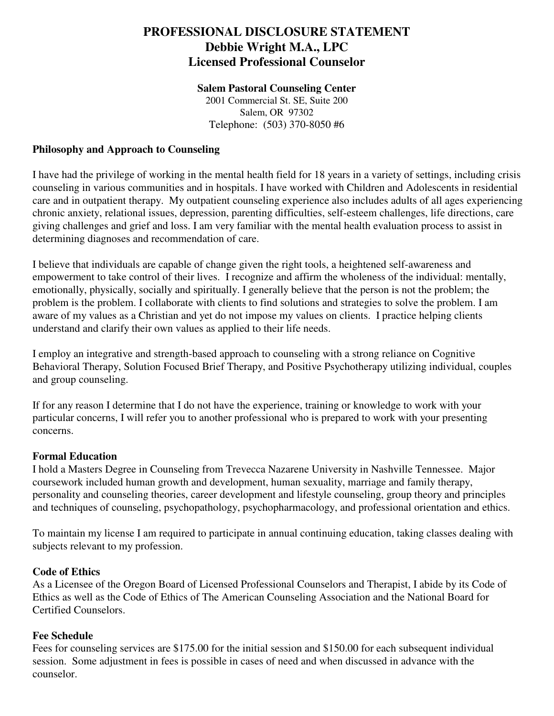## **PROFESSIONAL DISCLOSURE STATEMENT Debbie Wright M.A., LPC Licensed Professional Counselor**

#### **Salem Pastoral Counseling Center**

2001 Commercial St. SE, Suite 200 Salem, OR 97302 Telephone: (503) 370-8050 #6

### **Philosophy and Approach to Counseling**

I have had the privilege of working in the mental health field for 18 years in a variety of settings, including crisis counseling in various communities and in hospitals. I have worked with Children and Adolescents in residential care and in outpatient therapy. My outpatient counseling experience also includes adults of all ages experiencing chronic anxiety, relational issues, depression, parenting difficulties, self-esteem challenges, life directions, care giving challenges and grief and loss. I am very familiar with the mental health evaluation process to assist in determining diagnoses and recommendation of care.

I believe that individuals are capable of change given the right tools, a heightened self-awareness and empowerment to take control of their lives. I recognize and affirm the wholeness of the individual: mentally, emotionally, physically, socially and spiritually. I generally believe that the person is not the problem; the problem is the problem. I collaborate with clients to find solutions and strategies to solve the problem. I am aware of my values as a Christian and yet do not impose my values on clients. I practice helping clients understand and clarify their own values as applied to their life needs.

I employ an integrative and strength-based approach to counseling with a strong reliance on Cognitive Behavioral Therapy, Solution Focused Brief Therapy, and Positive Psychotherapy utilizing individual, couples and group counseling.

If for any reason I determine that I do not have the experience, training or knowledge to work with your particular concerns, I will refer you to another professional who is prepared to work with your presenting concerns.

#### **Formal Education**

I hold a Masters Degree in Counseling from Trevecca Nazarene University in Nashville Tennessee. Major coursework included human growth and development, human sexuality, marriage and family therapy, personality and counseling theories, career development and lifestyle counseling, group theory and principles and techniques of counseling, psychopathology, psychopharmacology, and professional orientation and ethics.

To maintain my license I am required to participate in annual continuing education, taking classes dealing with subjects relevant to my profession.

#### **Code of Ethics**

As a Licensee of the Oregon Board of Licensed Professional Counselors and Therapist, I abide by its Code of Ethics as well as the Code of Ethics of The American Counseling Association and the National Board for Certified Counselors.

#### **Fee Schedule**

Fees for counseling services are \$175.00 for the initial session and \$150.00 for each subsequent individual session. Some adjustment in fees is possible in cases of need and when discussed in advance with the counselor.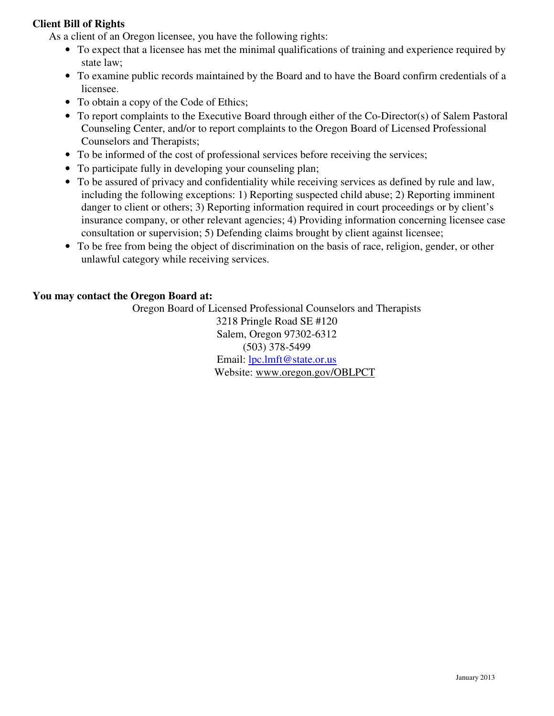### **Client Bill of Rights**

As a client of an Oregon licensee, you have the following rights:

- To expect that a licensee has met the minimal qualifications of training and experience required by state law;
- To examine public records maintained by the Board and to have the Board confirm credentials of a licensee.
- To obtain a copy of the Code of Ethics;
- To report complaints to the Executive Board through either of the Co-Director(s) of Salem Pastoral Counseling Center, and/or to report complaints to the Oregon Board of Licensed Professional Counselors and Therapists;
- To be informed of the cost of professional services before receiving the services;
- To participate fully in developing your counseling plan;
- To be assured of privacy and confidentiality while receiving services as defined by rule and law, including the following exceptions: 1) Reporting suspected child abuse; 2) Reporting imminent danger to client or others; 3) Reporting information required in court proceedings or by client's insurance company, or other relevant agencies; 4) Providing information concerning licensee case consultation or supervision; 5) Defending claims brought by client against licensee;
- To be free from being the object of discrimination on the basis of race, religion, gender, or other unlawful category while receiving services.

#### **You may contact the Oregon Board at:**

Oregon Board of Licensed Professional Counselors and Therapists 3218 Pringle Road SE #120 Salem, Oregon 97302-6312 (503) 378-5499 Email: lpc.lmft@state.or.us Website: www.oregon.gov/OBLPCT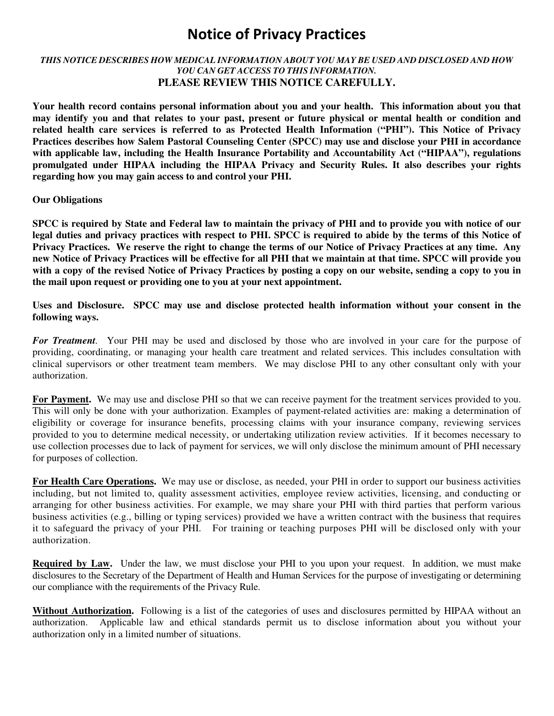## **Notice of Privacy Practices**

#### *THIS NOTICE DESCRIBES HOW MEDICAL INFORMATION ABOUT YOU MAY BE USED AND DISCLOSED AND HOW YOU CAN GET ACCESS TO THIS INFORMATION.*  **PLEASE REVIEW THIS NOTICE CAREFULLY.**

**Your health record contains personal information about you and your health. This information about you that may identify you and that relates to your past, present or future physical or mental health or condition and related health care services is referred to as Protected Health Information ("PHI"). This Notice of Privacy Practices describes how Salem Pastoral Counseling Center (SPCC) may use and disclose your PHI in accordance with applicable law, including the Health Insurance Portability and Accountability Act ("HIPAA"), regulations promulgated under HIPAA including the HIPAA Privacy and Security Rules. It also describes your rights regarding how you may gain access to and control your PHI.** 

#### **Our Obligations**

**SPCC is required by State and Federal law to maintain the privacy of PHI and to provide you with notice of our legal duties and privacy practices with respect to PHI. SPCC is required to abide by the terms of this Notice of Privacy Practices. We reserve the right to change the terms of our Notice of Privacy Practices at any time. Any new Notice of Privacy Practices will be effective for all PHI that we maintain at that time. SPCC will provide you with a copy of the revised Notice of Privacy Practices by posting a copy on our website, sending a copy to you in the mail upon request or providing one to you at your next appointment.** 

#### **Uses and Disclosure. SPCC may use and disclose protected health information without your consent in the following ways.**

*For Treatment.*Your PHI may be used and disclosed by those who are involved in your care for the purpose of providing, coordinating, or managing your health care treatment and related services. This includes consultation with clinical supervisors or other treatment team members. We may disclose PHI to any other consultant only with your authorization.

**For Payment.** We may use and disclose PHI so that we can receive payment for the treatment services provided to you. This will only be done with your authorization. Examples of payment-related activities are: making a determination of eligibility or coverage for insurance benefits, processing claims with your insurance company, reviewing services provided to you to determine medical necessity, or undertaking utilization review activities. If it becomes necessary to use collection processes due to lack of payment for services, we will only disclose the minimum amount of PHI necessary for purposes of collection.

**For Health Care Operations.** We may use or disclose, as needed, your PHI in order to support our business activities including, but not limited to, quality assessment activities, employee review activities, licensing, and conducting or arranging for other business activities. For example, we may share your PHI with third parties that perform various business activities (e.g., billing or typing services) provided we have a written contract with the business that requires it to safeguard the privacy of your PHI. For training or teaching purposes PHI will be disclosed only with your authorization.

**Required by Law.** Under the law, we must disclose your PHI to you upon your request. In addition, we must make disclosures to the Secretary of the Department of Health and Human Services for the purpose of investigating or determining our compliance with the requirements of the Privacy Rule.

**Without Authorization.** Following is a list of the categories of uses and disclosures permitted by HIPAA without an authorization. Applicable law and ethical standards permit us to disclose information about you without your authorization only in a limited number of situations.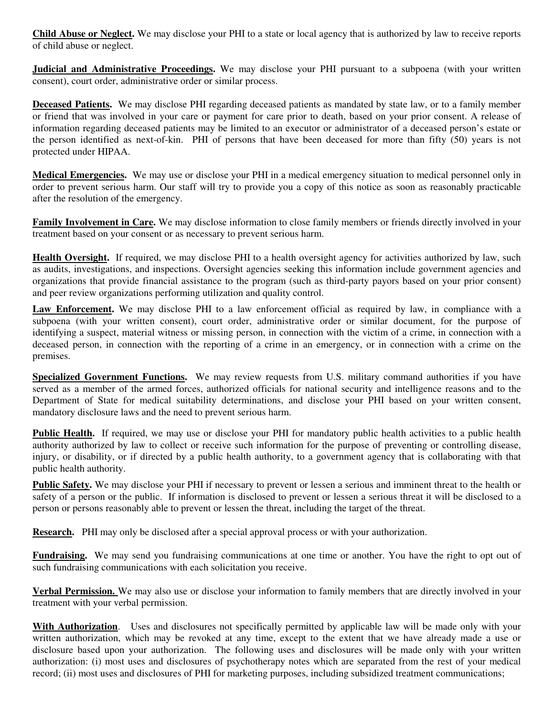**Child Abuse or Neglect.** We may disclose your PHI to a state or local agency that is authorized by law to receive reports of child abuse or neglect.

**Judicial and Administrative Proceedings.** We may disclose your PHI pursuant to a subpoena (with your written consent), court order, administrative order or similar process.

**Deceased Patients.** We may disclose PHI regarding deceased patients as mandated by state law, or to a family member or friend that was involved in your care or payment for care prior to death, based on your prior consent. A release of information regarding deceased patients may be limited to an executor or administrator of a deceased person's estate or the person identified as next-of-kin. PHI of persons that have been deceased for more than fifty (50) years is not protected under HIPAA.

**Medical Emergencies.** We may use or disclose your PHI in a medical emergency situation to medical personnel only in order to prevent serious harm. Our staff will try to provide you a copy of this notice as soon as reasonably practicable after the resolution of the emergency.

**Family Involvement in Care.** We may disclose information to close family members or friends directly involved in your treatment based on your consent or as necessary to prevent serious harm.

**Health Oversight.** If required, we may disclose PHI to a health oversight agency for activities authorized by law, such as audits, investigations, and inspections. Oversight agencies seeking this information include government agencies and organizations that provide financial assistance to the program (such as third-party payors based on your prior consent) and peer review organizations performing utilization and quality control.

**Law Enforcement.** We may disclose PHI to a law enforcement official as required by law, in compliance with a subpoena (with your written consent), court order, administrative order or similar document, for the purpose of identifying a suspect, material witness or missing person, in connection with the victim of a crime, in connection with a deceased person, in connection with the reporting of a crime in an emergency, or in connection with a crime on the premises.

**Specialized Government Functions.** We may review requests from U.S. military command authorities if you have served as a member of the armed forces, authorized officials for national security and intelligence reasons and to the Department of State for medical suitability determinations, and disclose your PHI based on your written consent, mandatory disclosure laws and the need to prevent serious harm.

**Public Health.** If required, we may use or disclose your PHI for mandatory public health activities to a public health authority authorized by law to collect or receive such information for the purpose of preventing or controlling disease, injury, or disability, or if directed by a public health authority, to a government agency that is collaborating with that public health authority.

**Public Safety.** We may disclose your PHI if necessary to prevent or lessen a serious and imminent threat to the health or safety of a person or the public. If information is disclosed to prevent or lessen a serious threat it will be disclosed to a person or persons reasonably able to prevent or lessen the threat, including the target of the threat.

**Research.** PHI may only be disclosed after a special approval process or with your authorization.

**Fundraising.** We may send you fundraising communications at one time or another. You have the right to opt out of such fundraising communications with each solicitation you receive.

**Verbal Permission.** We may also use or disclose your information to family members that are directly involved in your treatment with your verbal permission.

**With Authorization**. Uses and disclosures not specifically permitted by applicable law will be made only with your written authorization, which may be revoked at any time, except to the extent that we have already made a use or disclosure based upon your authorization. The following uses and disclosures will be made only with your written authorization: (i) most uses and disclosures of psychotherapy notes which are separated from the rest of your medical record; (ii) most uses and disclosures of PHI for marketing purposes, including subsidized treatment communications;